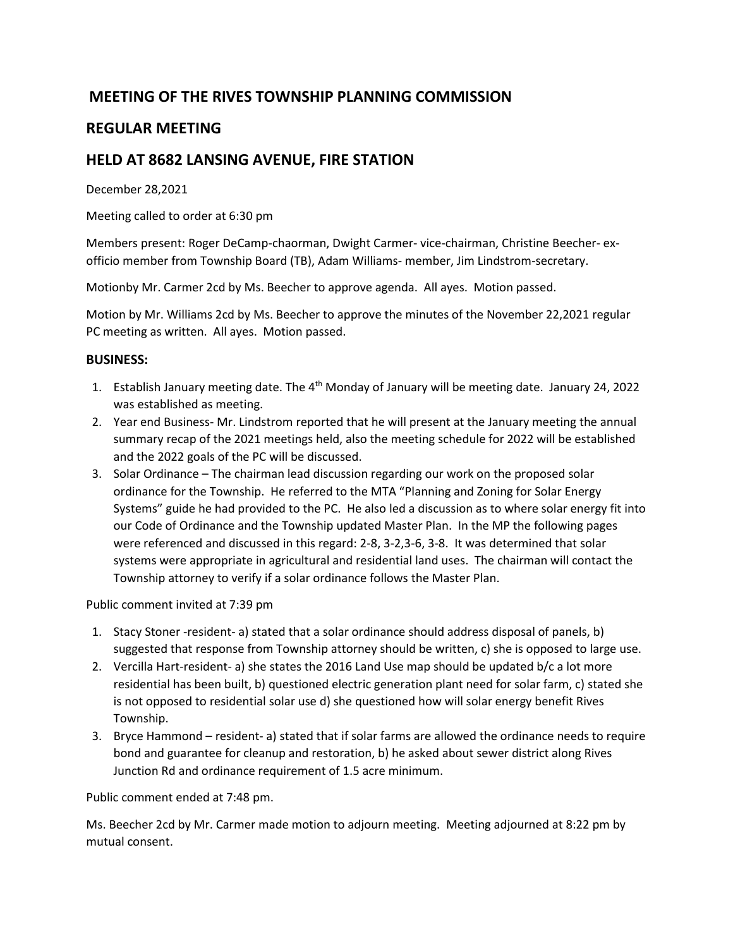## **MEETING OF THE RIVES TOWNSHIP PLANNING COMMISSION**

## **REGULAR MEETING**

## **HELD AT 8682 LANSING AVENUE, FIRE STATION**

December 28,2021

Meeting called to order at 6:30 pm

Members present: Roger DeCamp-chaorman, Dwight Carmer- vice-chairman, Christine Beecher- exofficio member from Township Board (TB), Adam Williams- member, Jim Lindstrom-secretary.

Motionby Mr. Carmer 2cd by Ms. Beecher to approve agenda. All ayes. Motion passed.

Motion by Mr. Williams 2cd by Ms. Beecher to approve the minutes of the November 22,2021 regular PC meeting as written. All ayes. Motion passed.

## **BUSINESS:**

- 1. Establish January meeting date. The 4<sup>th</sup> Monday of January will be meeting date. January 24, 2022 was established as meeting.
- 2. Year end Business- Mr. Lindstrom reported that he will present at the January meeting the annual summary recap of the 2021 meetings held, also the meeting schedule for 2022 will be established and the 2022 goals of the PC will be discussed.
- 3. Solar Ordinance The chairman lead discussion regarding our work on the proposed solar ordinance for the Township. He referred to the MTA "Planning and Zoning for Solar Energy Systems" guide he had provided to the PC. He also led a discussion as to where solar energy fit into our Code of Ordinance and the Township updated Master Plan. In the MP the following pages were referenced and discussed in this regard: 2-8, 3-2,3-6, 3-8. It was determined that solar systems were appropriate in agricultural and residential land uses. The chairman will contact the Township attorney to verify if a solar ordinance follows the Master Plan.

Public comment invited at 7:39 pm

- 1. Stacy Stoner -resident- a) stated that a solar ordinance should address disposal of panels, b) suggested that response from Township attorney should be written, c) she is opposed to large use.
- 2. Vercilla Hart-resident- a) she states the 2016 Land Use map should be updated b/c a lot more residential has been built, b) questioned electric generation plant need for solar farm, c) stated she is not opposed to residential solar use d) she questioned how will solar energy benefit Rives Township.
- 3. Bryce Hammond resident- a) stated that if solar farms are allowed the ordinance needs to require bond and guarantee for cleanup and restoration, b) he asked about sewer district along Rives Junction Rd and ordinance requirement of 1.5 acre minimum.

Public comment ended at 7:48 pm.

Ms. Beecher 2cd by Mr. Carmer made motion to adjourn meeting. Meeting adjourned at 8:22 pm by mutual consent.